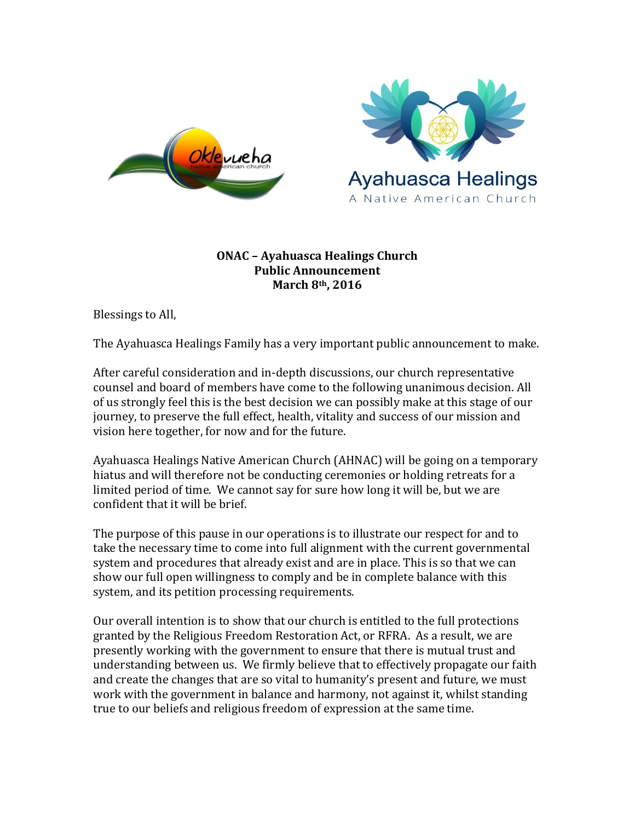



## **ONAC – Ayahuasca Healings Church Public Announcement March 8th, 2016**

Blessings to All,

The Ayahuasca Healings Family has a very important public announcement to make.

After careful consideration and in-depth discussions, our church representative counsel and board of members have come to the following unanimous decision. All of us strongly feel this is the best decision we can possibly make at this stage of our journey, to preserve the full effect, health, vitality and success of our mission and vision here together, for now and for the future.

Ayahuasca Healings Native American Church (AHNAC) will be going on a temporary hiatus and will therefore not be conducting ceremonies or holding retreats for a limited period of time. We cannot say for sure how long it will be, but we are confident that it will be brief.

The purpose of this pause in our operations is to illustrate our respect for and to take the necessary time to come into full alignment with the current governmental system and procedures that already exist and are in place. This is so that we can show our full open willingness to comply and be in complete balance with this system, and its petition processing requirements.

Our overall intention is to show that our church is entitled to the full protections granted by the Religious Freedom Restoration Act, or RFRA. As a result, we are presently working with the government to ensure that there is mutual trust and understanding between us. We firmly believe that to effectively propagate our faith and create the changes that are so vital to humanity's present and future, we must work with the government in balance and harmony, not against it, whilst standing true to our beliefs and religious freedom of expression at the same time.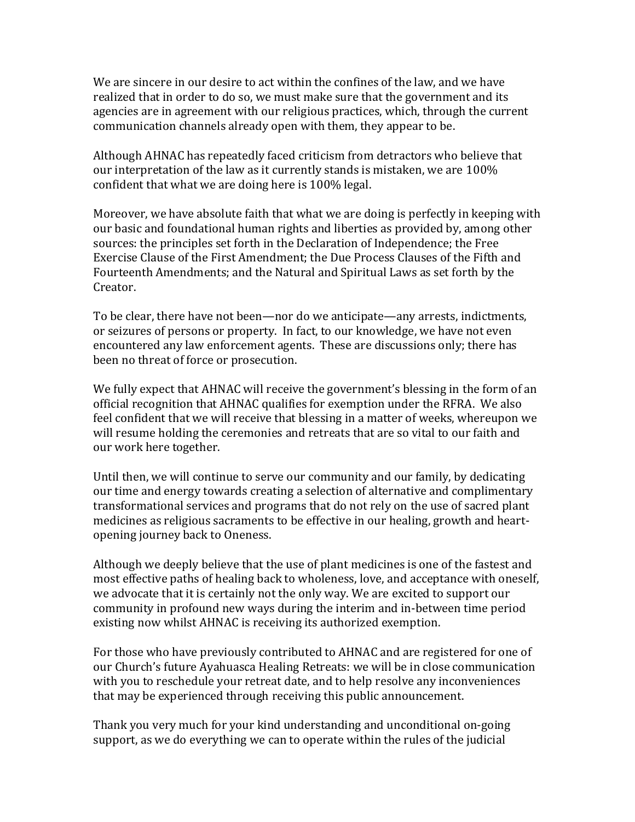We are sincere in our desire to act within the confines of the law, and we have realized that in order to do so, we must make sure that the government and its agencies are in agreement with our religious practices, which, through the current communication channels already open with them, they appear to be.

Although AHNAC has repeatedly faced criticism from detractors who believe that our interpretation of the law as it currently stands is mistaken, we are 100% confident that what we are doing here is 100% legal.

Moreover, we have absolute faith that what we are doing is perfectly in keeping with our basic and foundational human rights and liberties as provided by, among other sources: the principles set forth in the Declaration of Independence; the Free Exercise Clause of the First Amendment; the Due Process Clauses of the Fifth and Fourteenth Amendments; and the Natural and Spiritual Laws as set forth by the Creator.

To be clear, there have not been—nor do we anticipate—any arrests, indictments, or seizures of persons or property. In fact, to our knowledge, we have not even encountered any law enforcement agents. These are discussions only; there has been no threat of force or prosecution.

We fully expect that AHNAC will receive the government's blessing in the form of an official recognition that AHNAC qualifies for exemption under the RFRA. We also feel confident that we will receive that blessing in a matter of weeks, whereupon we will resume holding the ceremonies and retreats that are so vital to our faith and our work here together.

Until then, we will continue to serve our community and our family, by dedicating our time and energy towards creating a selection of alternative and complimentary transformational services and programs that do not rely on the use of sacred plant medicines as religious sacraments to be effective in our healing, growth and heartopening journey back to Oneness.

Although we deeply believe that the use of plant medicines is one of the fastest and most effective paths of healing back to wholeness, love, and acceptance with oneself, we advocate that it is certainly not the only way. We are excited to support our community in profound new ways during the interim and in-between time period existing now whilst AHNAC is receiving its authorized exemption.

For those who have previously contributed to AHNAC and are registered for one of our Church's future Ayahuasca Healing Retreats: we will be in close communication with you to reschedule your retreat date, and to help resolve any inconveniences that may be experienced through receiving this public announcement.

Thank you very much for your kind understanding and unconditional on-going support, as we do everything we can to operate within the rules of the judicial